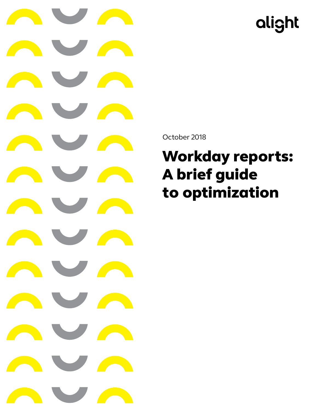

October 2018

# Workday reports: A brief guide to optimization

# alight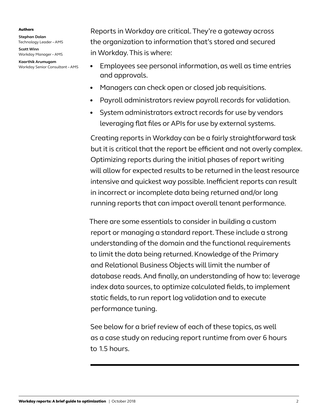#### Authors

**Stephan Dolan** Technology Leader – AMS **Scott Winn**

Workday Manager – AMS

**Kaarthik Arumugam** Workday Senior Consultant – AMS

Reports in Workday are critical. They're a gateway across the organization to information that's stored and secured in Workday. This is where:

- Employees see personal information, as well as time entries and approvals.
- Managers can check open or closed job requisitions.
- Payroll administrators review payroll records for validation.
- System administrators extract records for use by vendors leveraging flat files or APIs for use by external systems.

Creating reports in Workday can be a fairly straightforward task but it is critical that the report be efficient and not overly complex. Optimizing reports during the initial phases of report writing will allow for expected results to be returned in the least resource intensive and quickest way possible. Inefficient reports can result in incorrect or incomplete data being returned and/or long running reports that can impact overall tenant performance.

There are some essentials to consider in building a custom report or managing a standard report. These include a strong understanding of the domain and the functional requirements to limit the data being returned. Knowledge of the Primary and Relational Business Objects will limit the number of database reads. And finally, an understanding of how to: leverage index data sources, to optimize calculated fields, to implement static fields, to run report log validation and to execute performance tuning.

See below for a brief review of each of these topics, as well as a case study on reducing report runtime from over 6 hours to 1.5 hours.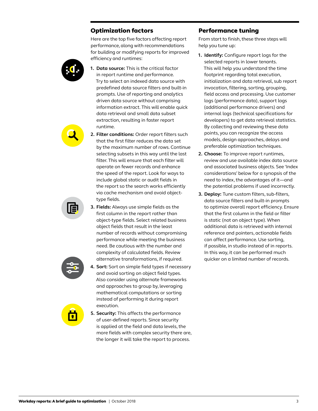## Optimization factors

Here are the top five factors affecting report performance, along with recommendations for building or modifying reports for improved efficiency and runtimes:

- **1. Data source:** This is the critical factor in report runtime and performance. Try to select an indexed data source with predefined data source filters and built-in prompts. Use of reporting and analytics driven data source without comprising information extract. This will enable quick data retrieval and small data subset extraction, resulting in faster report runtime.
- **2. Filter conditions:** Order report filters such that the first filter reduces the data set by the maximum number of rows. Continue selecting subsets in this way until the last filter. This will ensure that each filter will operate on fewer records and enhance the speed of the report. Look for ways to include global static or audit fields in the report so the search works efficiently via cache mechanism and avoid objecttype fields.
- **3. Fields:** Always use simple fields as the first column in the report rather than object-type fields. Select related business object fields that result in the least number of records without compromising performance while meeting the business need. Be cautious with the number and complexity of calculated fields. Review alternative transformations, if required.
- **4. Sort:** Sort on simple field types if necessary and avoid sorting on object field types. Also consider using alternate frameworks and approaches to group by, leveraging mathematical computations or sorting instead of performing it during report execution.
- **5. Security:** This affects the performance of user-defined reports. Since security is applied at the field and data levels, the more fields with complex security there are, the longer it will take the report to process.

# Performance tuning

From start to finish, these three steps will help you tune up:

- **1. Identify:** Configure report logs for the selected reports in lower tenants. This will help you understand the time footprint regarding total execution, initialization and data retrieval, sub report invocation, filtering, sorting, grouping, field access and processing. Use customer logs (performance data), support logs (additional performance drivers) and internal logs (technical specifications for developers) to get data retrieval statistics. By collecting and reviewing these data points, you can recognize the access models, design approaches, delays and preferable optimization techniques.
- **2. Choose:** To improve report runtimes, review and use available index data source and associated business objects. See 'Index considerations' below for a synopsis of the need to index, the advantages of it—and the potential problems if used incorrectly.
- **3. Deploy:** Tune custom filters, sub-filters, data source filters and built-in prompts to optimize overall report efficiency. Ensure that the first column in the field or filter is static (not an object type). When additional data is retrieved with internal reference and pointers, actionable fields can affect performance. Use sorting, if possible, in studio instead of in reports. In this way, it can be performed much quicker on a limited number of records.







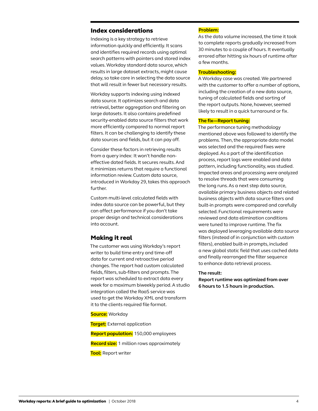#### Index considerations

Indexing is a key strategy to retrieve information quickly and efficiently. It scans and identifies required records using optimal search patterns with pointers and stored index values. Workday standard data source, which results in large dataset extracts, might cause delay, so take care in selecting the data source that will result in fewer but necessary results.

Workday supports indexing using indexed data source. It optimizes search and data retrieval, better aggregation and filtering on large datasets. It also contains predefined security-enabled data source filters that work more efficiently compared to normal report filters. It can be challenging to identify these data sources and fields, but it can pay off.

Consider these factors in retrieving results from a query index: It won't handle noneffective dated fields. It secures results. And it minimizes returns that require a functional information review. Custom data source, introduced in Workday 29, takes this approach further.

Custom multi-level calculated fields with index data source can be powerful, but they can affect performance if you don't take proper design and technical considerations into account.

## Making it real

The customer was using Workday's report writer to build time entry and time-off data for current and retroactive period changes. The report had custom calculated fields, filters, sub-filters and prompts. The report was scheduled to extract data every week for a maximum biweekly period. A studio integration called the RaaS service was used to get the Workday XML and transform it to the clients required file format.

#### **Source:** Workday

**Target:** External application **Report population:** 150,000 employees **Record size:** 1 million rows approximately **Tool:** Report writer

#### **Problem:**

As the data volume increased, the time it took to complete reports gradually increased from 30 minutes to a couple of hours. It eventually errored after hitting six hours of runtime after a few months.

#### **Troubleshooting:**

A Workday case was created. We partnered with the customer to offer a number of options, including the creation of a new data source, tuning of calculated fields and sorting of the report outputs. None, however, seemed likely to result in a quick turnaround or fix.

#### **The fix—Report tuning:**

The performance tuning methodology mentioned above was followed to identify the problems. Then, the appropriate data model was selected and the required fixes were deployed. As a part of the identification process, report logs were enabled and data pattern, including functionality, was studied. Impacted areas and processing were analyzed to resolve threads that were consuming the long runs. As a next step data source, available primary business objects and related business objects with data source filters and built-in prompts were compared and carefully selected. Functional requirements were reviewed and data elimination conditions were tuned to improve runtime. The fix was deployed leveraging available data source filters (instead of in conjunction with custom filters), enabled built-in prompts, included a new global static field that uses cached data and finally rearranged the filter sequence to enhance data retrieval process.

#### **The result:**

**Report runtime was optimized from over 6 hours to 1.5 hours in production.**